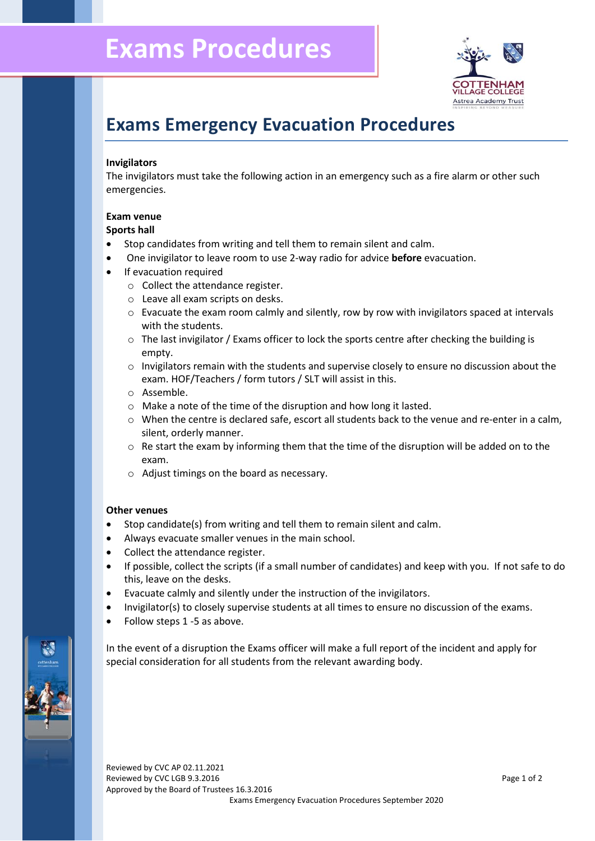

# **Exams Emergency Evacuation Procedures**

# **Invigilators**

The invigilators must take the following action in an emergency such as a fire alarm or other such emergencies.

# **Exam venue**

#### **Sports hall**

- Stop candidates from writing and tell them to remain silent and calm.
- One invigilator to leave room to use 2-way radio for advice **before** evacuation.
- If evacuation required
	- o Collect the attendance register.
	- o Leave all exam scripts on desks.
	- $\circ$  Evacuate the exam room calmly and silently, row by row with invigilators spaced at intervals with the students.
	- $\circ$  The last invigilator / Exams officer to lock the sports centre after checking the building is empty.
	- $\circ$  Invigilators remain with the students and supervise closely to ensure no discussion about the exam. HOF/Teachers / form tutors / SLT will assist in this.
	- o Assemble.
	- o Make a note of the time of the disruption and how long it lasted.
	- o When the centre is declared safe, escort all students back to the venue and re-enter in a calm, silent, orderly manner.
	- o Re start the exam by informing them that the time of the disruption will be added on to the exam.
	- o Adjust timings on the board as necessary.

# **Other venues**

- Stop candidate(s) from writing and tell them to remain silent and calm.
- Always evacuate smaller venues in the main school.
- Collect the attendance register.
- If possible, collect the scripts (if a small number of candidates) and keep with you. If not safe to do this, leave on the desks.
- Evacuate calmly and silently under the instruction of the invigilators.
- Invigilator(s) to closely supervise students at all times to ensure no discussion of the exams.
- Follow steps 1 -5 as above.

In the event of a disruption the Exams officer will make a full report of the incident and apply for special consideration for all students from the relevant awarding body.